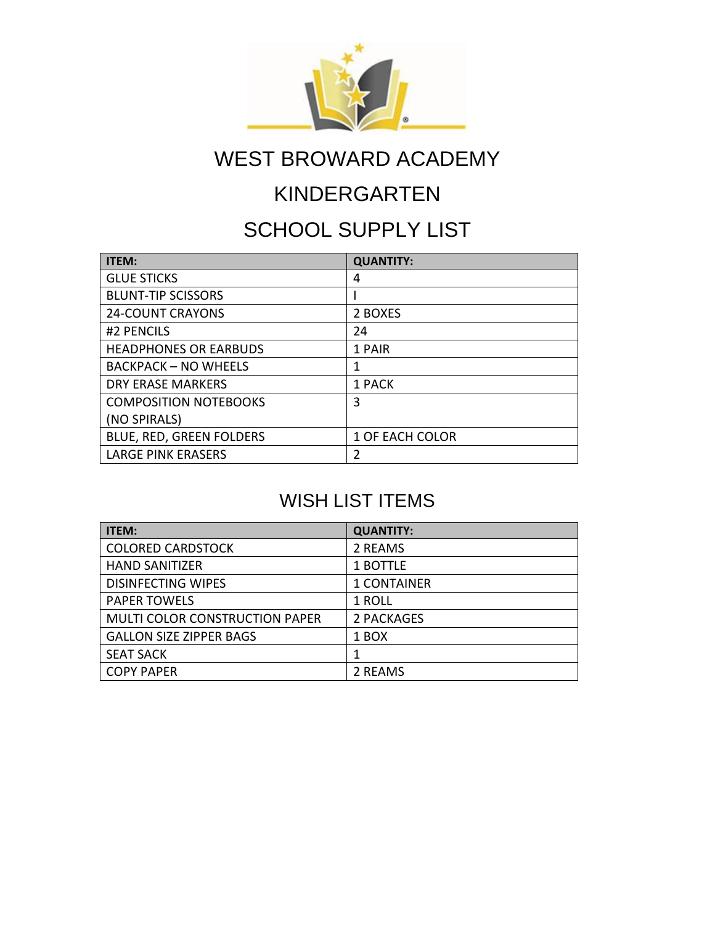

# KINDERGARTEN

### SCHOOL SUPPLY LIST

| <b>ITEM:</b>                 | <b>QUANTITY:</b>       |
|------------------------------|------------------------|
| <b>GLUE STICKS</b>           | 4                      |
| <b>BLUNT-TIP SCISSORS</b>    |                        |
| <b>24-COUNT CRAYONS</b>      | 2 BOXES                |
| #2 PENCILS                   | 24                     |
| <b>HEADPHONES OR EARBUDS</b> | 1 PAIR                 |
| <b>BACKPACK - NO WHEELS</b>  | 1                      |
| DRY ERASE MARKERS            | 1 PACK                 |
| <b>COMPOSITION NOTEBOOKS</b> | 3                      |
| (NO SPIRALS)                 |                        |
| BLUE, RED, GREEN FOLDERS     | <b>1 OF EACH COLOR</b> |
| <b>LARGE PINK ERASERS</b>    | 2                      |

| ITEM:                                 | <b>QUANTITY:</b>   |
|---------------------------------------|--------------------|
| <b>COLORED CARDSTOCK</b>              | 2 REAMS            |
| <b>HAND SANITIZER</b>                 | 1 BOTTLE           |
| <b>DISINFECTING WIPES</b>             | <b>1 CONTAINER</b> |
| <b>PAPER TOWELS</b>                   | 1 ROLL             |
| <b>MULTI COLOR CONSTRUCTION PAPER</b> | 2 PACKAGES         |
| <b>GALLON SIZE ZIPPER BAGS</b>        | 1 BOX              |
| <b>SEAT SACK</b>                      |                    |
| <b>COPY PAPER</b>                     | 2 REAMS            |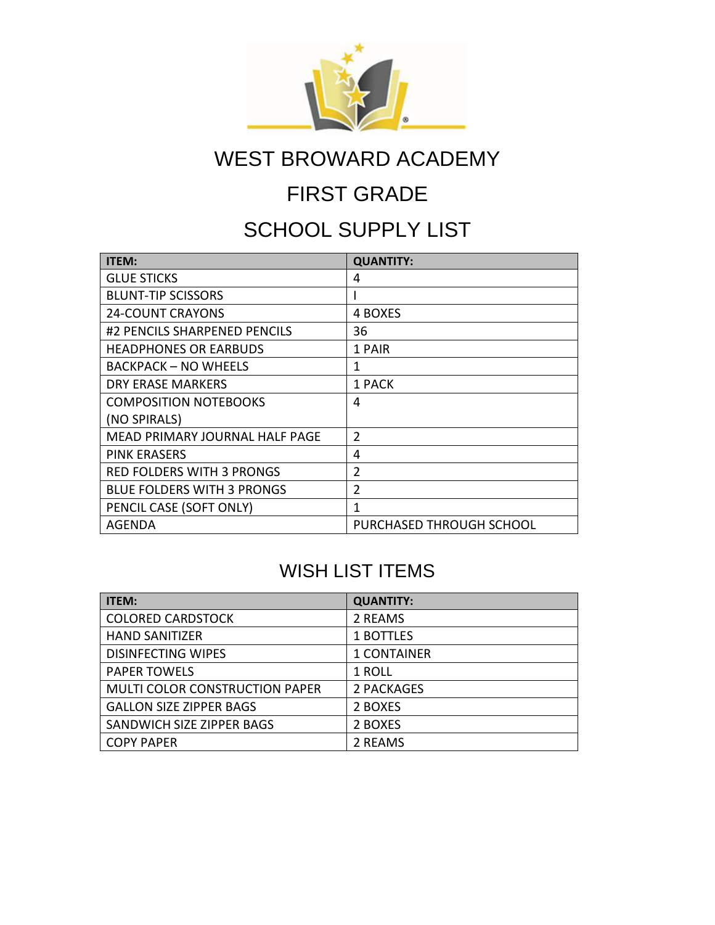

# FIRST GRADE

### SCHOOL SUPPLY LIST

| <b>ITEM:</b>                      | <b>QUANTITY:</b>         |
|-----------------------------------|--------------------------|
| <b>GLUE STICKS</b>                | 4                        |
| <b>BLUNT-TIP SCISSORS</b>         |                          |
| <b>24-COUNT CRAYONS</b>           | 4 BOXES                  |
| #2 PENCILS SHARPENED PENCILS      | 36                       |
| <b>HEADPHONES OR EARBUDS</b>      | 1 PAIR                   |
| <b>BACKPACK - NO WHEELS</b>       | 1                        |
| <b>DRY ERASE MARKERS</b>          | 1 PACK                   |
| <b>COMPOSITION NOTEBOOKS</b>      | 4                        |
| (NO SPIRALS)                      |                          |
| MEAD PRIMARY JOURNAL HALF PAGE    | $\overline{2}$           |
| <b>PINK ERASERS</b>               | 4                        |
| <b>RED FOLDERS WITH 3 PRONGS</b>  | $\overline{2}$           |
| <b>BLUE FOLDERS WITH 3 PRONGS</b> | $\overline{2}$           |
| PENCIL CASE (SOFT ONLY)           | 1                        |
| AGENDA                            | PURCHASED THROUGH SCHOOL |

| <b>ITEM:</b>                          | <b>QUANTITY:</b>   |
|---------------------------------------|--------------------|
| <b>COLORED CARDSTOCK</b>              | 2 REAMS            |
| <b>HAND SANITIZER</b>                 | 1 BOTTLES          |
| <b>DISINFECTING WIPES</b>             | <b>1 CONTAINER</b> |
| <b>PAPER TOWELS</b>                   | 1 ROLL             |
| <b>MULTI COLOR CONSTRUCTION PAPER</b> | 2 PACKAGES         |
| <b>GALLON SIZE ZIPPER BAGS</b>        | 2 BOXES            |
| SANDWICH SIZE ZIPPER BAGS             | 2 BOXES            |
| <b>COPY PAPER</b>                     | 2 REAMS            |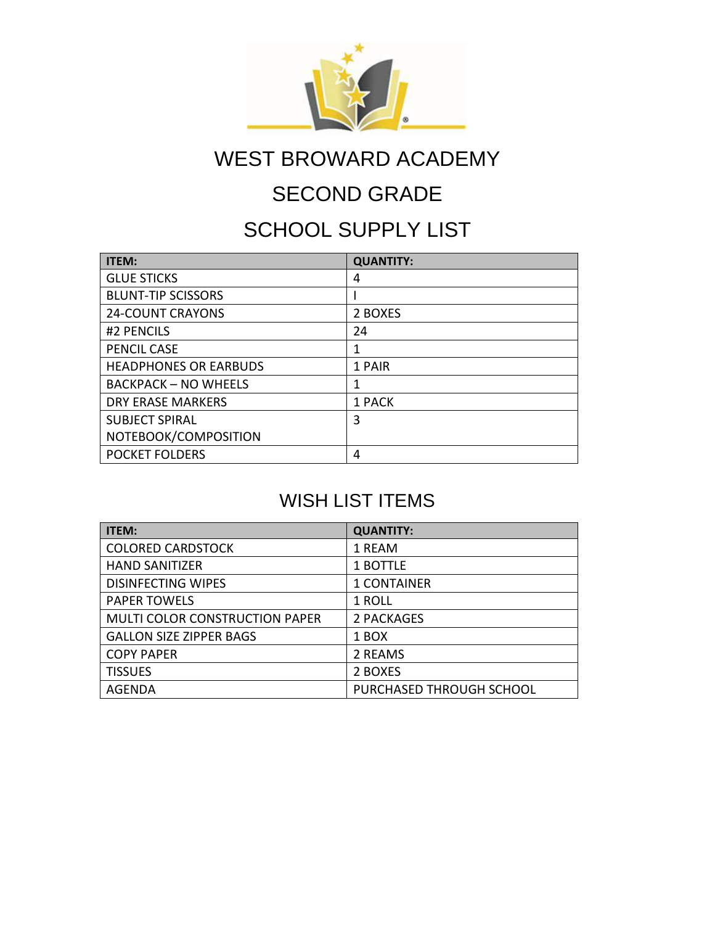

### SECOND GRADE

### SCHOOL SUPPLY LIST

| <b>ITEM:</b>                 | <b>QUANTITY:</b> |
|------------------------------|------------------|
| <b>GLUE STICKS</b>           | 4                |
| <b>BLUNT-TIP SCISSORS</b>    |                  |
| <b>24-COUNT CRAYONS</b>      | 2 BOXES          |
| #2 PENCILS                   | 24               |
| PENCIL CASE                  | 1                |
| <b>HEADPHONES OR EARBUDS</b> | 1 PAIR           |
| <b>BACKPACK - NO WHEELS</b>  | 1                |
| DRY ERASE MARKERS            | 1 PACK           |
| <b>SUBJECT SPIRAL</b>        | 3                |
| NOTEBOOK/COMPOSITION         |                  |
| <b>POCKET FOLDERS</b>        | 4                |

| ITEM:                                 | <b>QUANTITY:</b>         |
|---------------------------------------|--------------------------|
| <b>COLORED CARDSTOCK</b>              | 1 REAM                   |
| <b>HAND SANITIZER</b>                 | 1 BOTTLE                 |
| <b>DISINFECTING WIPES</b>             | <b>1 CONTAINER</b>       |
| <b>PAPER TOWELS</b>                   | 1 ROLL                   |
| <b>MULTI COLOR CONSTRUCTION PAPER</b> | 2 PACKAGES               |
| <b>GALLON SIZE ZIPPER BAGS</b>        | 1 BOX                    |
| <b>COPY PAPER</b>                     | 2 REAMS                  |
| <b>TISSUES</b>                        | 2 BOXES                  |
| AGENDA                                | PURCHASED THROUGH SCHOOL |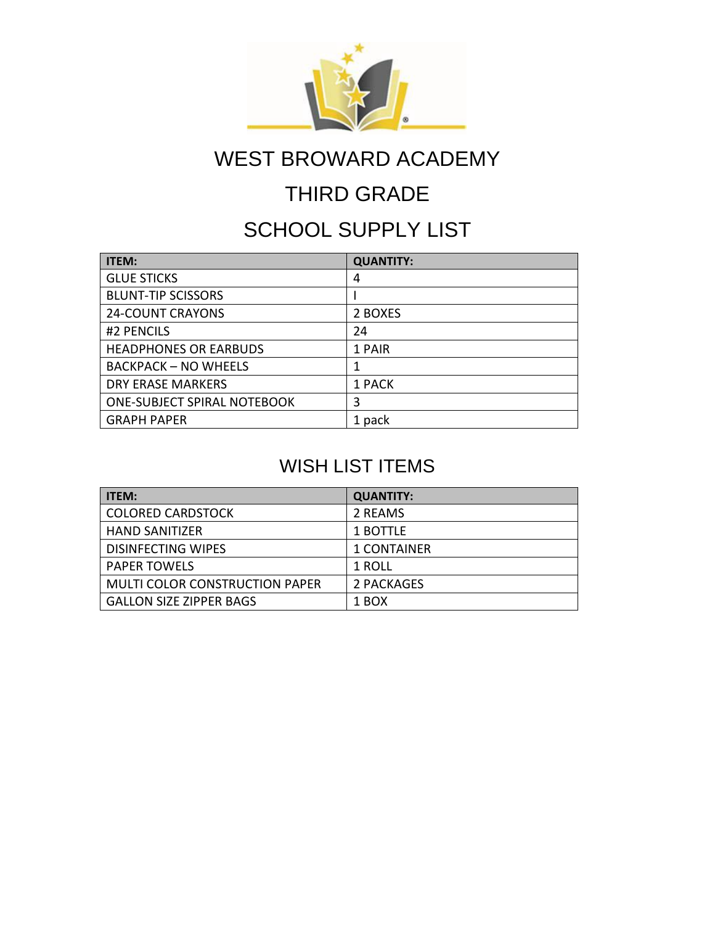

### THIRD GRADE

### SCHOOL SUPPLY LIST

| <b>ITEM:</b>                       | <b>QUANTITY:</b> |
|------------------------------------|------------------|
| <b>GLUE STICKS</b>                 | 4                |
| <b>BLUNT-TIP SCISSORS</b>          |                  |
| <b>24-COUNT CRAYONS</b>            | 2 BOXES          |
| #2 PENCILS                         | 24               |
| <b>HEADPHONES OR EARBUDS</b>       | 1 PAIR           |
| <b>BACKPACK - NO WHEELS</b>        |                  |
| <b>DRY ERASE MARKERS</b>           | 1 PACK           |
| <b>ONE-SUBJECT SPIRAL NOTEBOOK</b> | 3                |
| <b>GRAPH PAPER</b>                 | 1 pack           |

| <b>ITEM:</b>                          | <b>QUANTITY:</b>   |
|---------------------------------------|--------------------|
| <b>COLORED CARDSTOCK</b>              | 2 REAMS            |
| <b>HAND SANITIZER</b>                 | 1 BOTTLE           |
| <b>DISINFECTING WIPES</b>             | <b>1 CONTAINER</b> |
| <b>PAPER TOWELS</b>                   | 1 ROLL             |
| <b>MULTI COLOR CONSTRUCTION PAPER</b> | 2 PACKAGES         |
| <b>GALLON SIZE ZIPPER BAGS</b>        | 1 BOX              |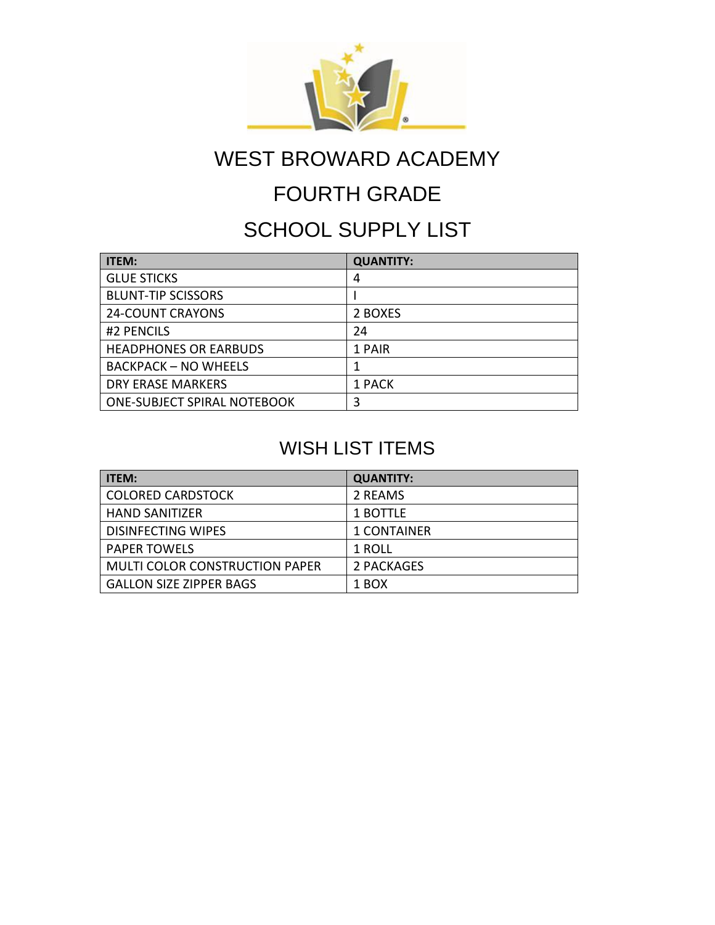

### FOURTH GRADE

### SCHOOL SUPPLY LIST

| <b>ITEM:</b>                       | <b>QUANTITY:</b> |
|------------------------------------|------------------|
| <b>GLUE STICKS</b>                 | 4                |
| <b>BLUNT-TIP SCISSORS</b>          |                  |
| <b>24-COUNT CRAYONS</b>            | 2 BOXES          |
| #2 PENCILS                         | 24               |
| <b>HEADPHONES OR EARBUDS</b>       | 1 PAIR           |
| <b>BACKPACK - NO WHEELS</b>        |                  |
| <b>DRY ERASE MARKERS</b>           | 1 PACK           |
| <b>ONE-SUBJECT SPIRAL NOTEBOOK</b> | 3                |

| <b>ITEM:</b>                   | <b>QUANTITY:</b>   |
|--------------------------------|--------------------|
| <b>COLORED CARDSTOCK</b>       | 2 REAMS            |
| <b>HAND SANITIZER</b>          | 1 BOTTLE           |
| <b>DISINFECTING WIPES</b>      | <b>1 CONTAINER</b> |
| <b>PAPER TOWELS</b>            | 1 ROLL             |
| MULTI COLOR CONSTRUCTION PAPER | 2 PACKAGES         |
| <b>GALLON SIZE ZIPPER BAGS</b> | 1 BOX              |